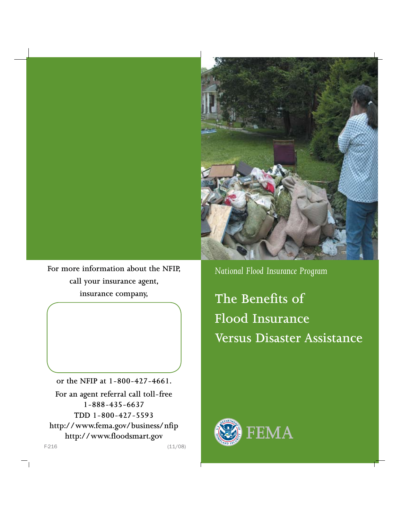

**or the NFIP at 1-800-427-4661. For an agent referral call toll-free 1-888-435-6637 TDD 1-800-427-5593 http://www.fema.gov/business/nfip http://www.floodsmart.gov** F-216 (11/08)

 $\Box$ 

*National Flood Insurance Program*

**The Benefits of Flood Insurance Versus Disaster Assistance**